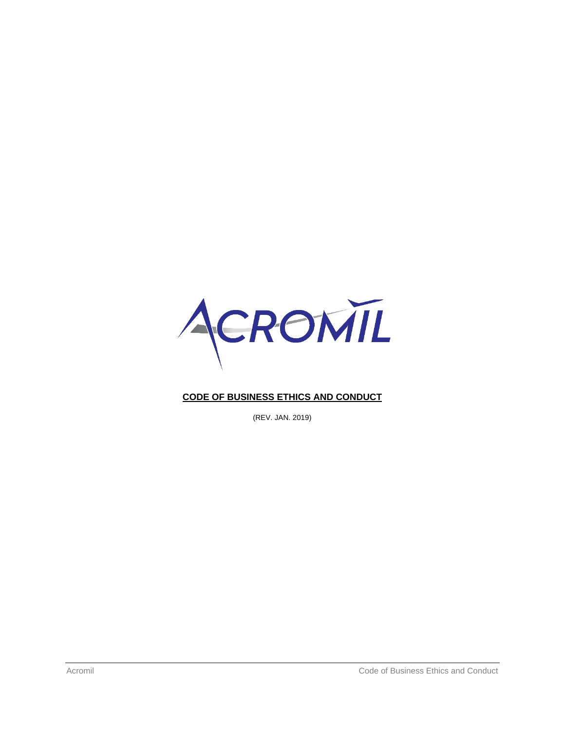

## **CODE OF BUSINESS ETHICS AND CONDUCT**

(REV. JAN. 2019)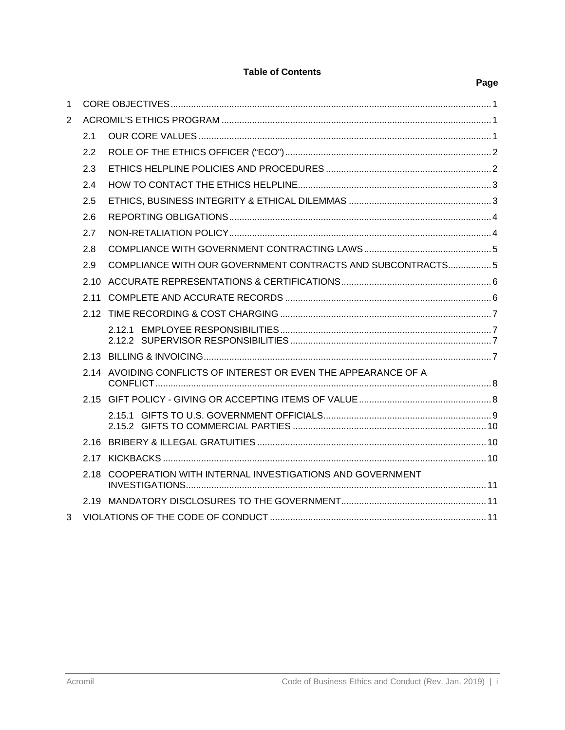## **Table of Contents**

Page

| 1 |      |                                                                 |  |  |
|---|------|-----------------------------------------------------------------|--|--|
| 2 |      |                                                                 |  |  |
|   | 2.1  |                                                                 |  |  |
|   | 2.2  |                                                                 |  |  |
|   | 2.3  |                                                                 |  |  |
|   | 2.4  |                                                                 |  |  |
|   | 2.5  |                                                                 |  |  |
|   | 2.6  |                                                                 |  |  |
|   | 2.7  |                                                                 |  |  |
|   | 2.8  |                                                                 |  |  |
|   | 2.9  | COMPLIANCE WITH OUR GOVERNMENT CONTRACTS AND SUBCONTRACTS5      |  |  |
|   | 2.10 |                                                                 |  |  |
|   | 2.11 |                                                                 |  |  |
|   |      |                                                                 |  |  |
|   |      |                                                                 |  |  |
|   |      |                                                                 |  |  |
|   |      | 2.14 AVOIDING CONFLICTS OF INTEREST OR EVEN THE APPEARANCE OF A |  |  |
|   |      |                                                                 |  |  |
|   |      |                                                                 |  |  |
|   |      |                                                                 |  |  |
|   |      |                                                                 |  |  |
|   |      | 2.18 COOPERATION WITH INTERNAL INVESTIGATIONS AND GOVERNMENT    |  |  |
|   |      |                                                                 |  |  |
| 3 |      |                                                                 |  |  |
|   |      |                                                                 |  |  |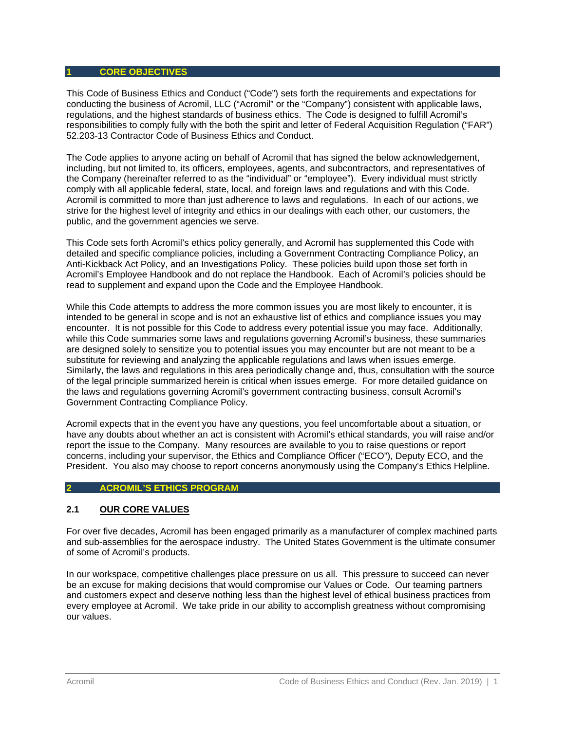#### **1 CORE OBJECTIVES**

This Code of Business Ethics and Conduct ("Code") sets forth the requirements and expectations for conducting the business of Acromil, LLC ("Acromil" or the "Company") consistent with applicable laws, regulations, and the highest standards of business ethics. The Code is designed to fulfill Acromil's responsibilities to comply fully with the both the spirit and letter of Federal Acquisition Regulation ("FAR") 52.203-13 Contractor Code of Business Ethics and Conduct.

The Code applies to anyone acting on behalf of Acromil that has signed the below acknowledgement, including, but not limited to, its officers, employees, agents, and subcontractors, and representatives of the Company (hereinafter referred to as the "individual" or "employee"). Every individual must strictly comply with all applicable federal, state, local, and foreign laws and regulations and with this Code. Acromil is committed to more than just adherence to laws and regulations. In each of our actions, we strive for the highest level of integrity and ethics in our dealings with each other, our customers, the public, and the government agencies we serve.

This Code sets forth Acromil's ethics policy generally, and Acromil has supplemented this Code with detailed and specific compliance policies, including a Government Contracting Compliance Policy, an Anti-Kickback Act Policy, and an Investigations Policy. These policies build upon those set forth in Acromil's Employee Handbook and do not replace the Handbook. Each of Acromil's policies should be read to supplement and expand upon the Code and the Employee Handbook.

While this Code attempts to address the more common issues you are most likely to encounter, it is intended to be general in scope and is not an exhaustive list of ethics and compliance issues you may encounter. It is not possible for this Code to address every potential issue you may face. Additionally, while this Code summaries some laws and regulations governing Acromil's business, these summaries are designed solely to sensitize you to potential issues you may encounter but are not meant to be a substitute for reviewing and analyzing the applicable regulations and laws when issues emerge. Similarly, the laws and regulations in this area periodically change and, thus, consultation with the source of the legal principle summarized herein is critical when issues emerge. For more detailed guidance on the laws and regulations governing Acromil's government contracting business, consult Acromil's Government Contracting Compliance Policy.

Acromil expects that in the event you have any questions, you feel uncomfortable about a situation, or have any doubts about whether an act is consistent with Acromil's ethical standards, you will raise and/or report the issue to the Company. Many resources are available to you to raise questions or report concerns, including your supervisor, the Ethics and Compliance Officer ("ECO"), Deputy ECO, and the President. You also may choose to report concerns anonymously using the Company's Ethics Helpline.

#### **2 ACROMIL'S ETHICS PROGRAM**

### **2.1 OUR CORE VALUES**

For over five decades, Acromil has been engaged primarily as a manufacturer of complex machined parts and sub-assemblies for the aerospace industry. The United States Government is the ultimate consumer of some of Acromil's products.

In our workspace, competitive challenges place pressure on us all. This pressure to succeed can never be an excuse for making decisions that would compromise our Values or Code. Our teaming partners and customers expect and deserve nothing less than the highest level of ethical business practices from every employee at Acromil. We take pride in our ability to accomplish greatness without compromising our values.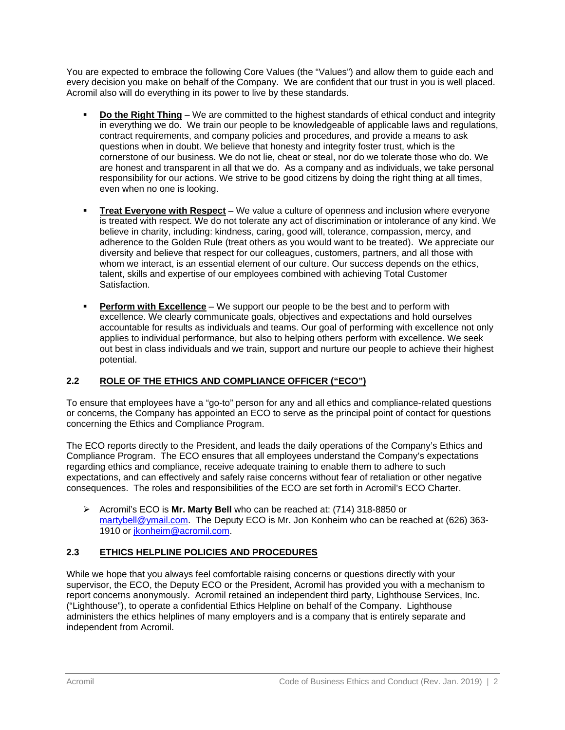You are expected to embrace the following Core Values (the "Values") and allow them to guide each and every decision you make on behalf of the Company. We are confident that our trust in you is well placed. Acromil also will do everything in its power to live by these standards.

- **Do the Right Thing** We are committed to the highest standards of ethical conduct and integrity in everything we do. We train our people to be knowledgeable of applicable laws and regulations, contract requirements, and company policies and procedures, and provide a means to ask questions when in doubt. We believe that honesty and integrity foster trust, which is the cornerstone of our business. We do not lie, cheat or steal, nor do we tolerate those who do. We are honest and transparent in all that we do. As a company and as individuals, we take personal responsibility for our actions. We strive to be good citizens by doing the right thing at all times, even when no one is looking.
- **Treat Everyone with Respect** We value a culture of openness and inclusion where everyone is treated with respect. We do not tolerate any act of discrimination or intolerance of any kind. We believe in charity, including: kindness, caring, good will, tolerance, compassion, mercy, and adherence to the Golden Rule (treat others as you would want to be treated). We appreciate our diversity and believe that respect for our colleagues, customers, partners, and all those with whom we interact, is an essential element of our culture. Our success depends on the ethics, talent, skills and expertise of our employees combined with achieving Total Customer Satisfaction.
- **Perform with Excellence** We support our people to be the best and to perform with excellence. We clearly communicate goals, objectives and expectations and hold ourselves accountable for results as individuals and teams. Our goal of performing with excellence not only applies to individual performance, but also to helping others perform with excellence. We seek out best in class individuals and we train, support and nurture our people to achieve their highest potential.

## **2.2 ROLE OF THE ETHICS AND COMPLIANCE OFFICER ("ECO")**

To ensure that employees have a "go-to" person for any and all ethics and compliance-related questions or concerns, the Company has appointed an ECO to serve as the principal point of contact for questions concerning the Ethics and Compliance Program.

The ECO reports directly to the President, and leads the daily operations of the Company's Ethics and Compliance Program. The ECO ensures that all employees understand the Company's expectations regarding ethics and compliance, receive adequate training to enable them to adhere to such expectations, and can effectively and safely raise concerns without fear of retaliation or other negative consequences. The roles and responsibilities of the ECO are set forth in Acromil's ECO Charter.

 Acromil's ECO is **Mr. Marty Bell** who can be reached at: (714) 318-8850 or martybell@ymail.com. The Deputy ECO is Mr. Jon Konheim who can be reached at (626) 363- 1910 or jkonheim@acromil.com.

## **2.3 ETHICS HELPLINE POLICIES AND PROCEDURES**

While we hope that you always feel comfortable raising concerns or questions directly with your supervisor, the ECO, the Deputy ECO or the President, Acromil has provided you with a mechanism to report concerns anonymously. Acromil retained an independent third party, Lighthouse Services, Inc. ("Lighthouse"), to operate a confidential Ethics Helpline on behalf of the Company. Lighthouse administers the ethics helplines of many employers and is a company that is entirely separate and independent from Acromil.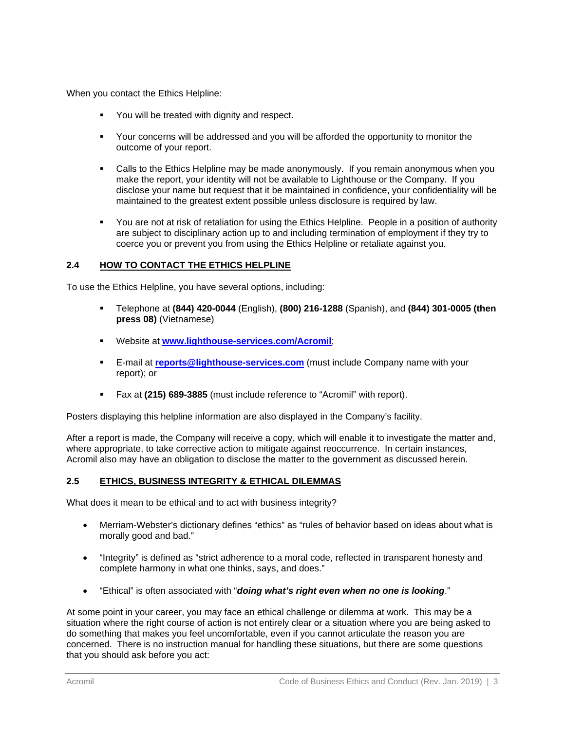When you contact the Ethics Helpline:

- **•** You will be treated with dignity and respect.
- Your concerns will be addressed and you will be afforded the opportunity to monitor the outcome of your report.
- Calls to the Ethics Helpline may be made anonymously. If you remain anonymous when you make the report, your identity will not be available to Lighthouse or the Company. If you disclose your name but request that it be maintained in confidence, your confidentiality will be maintained to the greatest extent possible unless disclosure is required by law.
- You are not at risk of retaliation for using the Ethics Helpline. People in a position of authority are subject to disciplinary action up to and including termination of employment if they try to coerce you or prevent you from using the Ethics Helpline or retaliate against you.

### **2.4 HOW TO CONTACT THE ETHICS HELPLINE**

To use the Ethics Helpline, you have several options, including:

- Telephone at **(844) 420-0044** (English), **(800) 216-1288** (Spanish), and **(844) 301-0005 (then press 08)** (Vietnamese)
- Website at **www.lighthouse-services.com/Acromil**;
- E-mail at **reports@lighthouse-services.com** (must include Company name with your report); or
- Fax at **(215) 689-3885** (must include reference to "Acromil" with report).

Posters displaying this helpline information are also displayed in the Company's facility.

After a report is made, the Company will receive a copy, which will enable it to investigate the matter and, where appropriate, to take corrective action to mitigate against reoccurrence. In certain instances, Acromil also may have an obligation to disclose the matter to the government as discussed herein.

### **2.5 ETHICS, BUSINESS INTEGRITY & ETHICAL DILEMMAS**

What does it mean to be ethical and to act with business integrity?

- Merriam-Webster's dictionary defines "ethics" as "rules of behavior based on ideas about what is morally good and bad."
- "Integrity" is defined as "strict adherence to a moral code, reflected in transparent honesty and complete harmony in what one thinks, says, and does."
- "Ethical" is often associated with "*doing what's right even when no one is looking*."

At some point in your career, you may face an ethical challenge or dilemma at work. This may be a situation where the right course of action is not entirely clear or a situation where you are being asked to do something that makes you feel uncomfortable, even if you cannot articulate the reason you are concerned. There is no instruction manual for handling these situations, but there are some questions that you should ask before you act: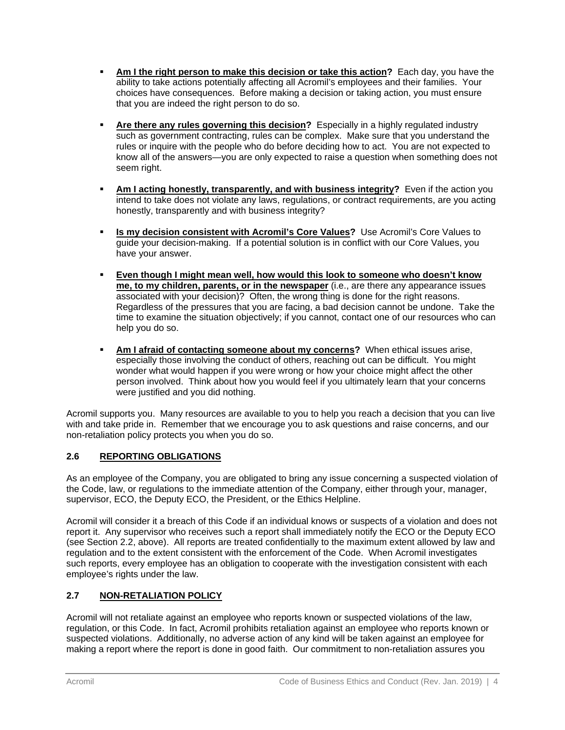- **Am I the right person to make this decision or take this action?** Each day, you have the ability to take actions potentially affecting all Acromil's employees and their families. Your choices have consequences. Before making a decision or taking action, you must ensure that you are indeed the right person to do so.
- **Are there any rules governing this decision?** Especially in a highly regulated industry such as government contracting, rules can be complex. Make sure that you understand the rules or inquire with the people who do before deciding how to act. You are not expected to know all of the answers—you are only expected to raise a question when something does not seem right.
- **Am I acting honestly, transparently, and with business integrity?** Even if the action you intend to take does not violate any laws, regulations, or contract requirements, are you acting honestly, transparently and with business integrity?
- **Is my decision consistent with Acromil's Core Values?** Use Acromil's Core Values to guide your decision-making. If a potential solution is in conflict with our Core Values, you have your answer.
- **Even though I might mean well, how would this look to someone who doesn't know me, to my children, parents, or in the newspaper** (i.e., are there any appearance issues associated with your decision)? Often, the wrong thing is done for the right reasons. Regardless of the pressures that you are facing, a bad decision cannot be undone. Take the time to examine the situation objectively; if you cannot, contact one of our resources who can help you do so.
- **Am I afraid of contacting someone about my concerns?** When ethical issues arise, especially those involving the conduct of others, reaching out can be difficult. You might wonder what would happen if you were wrong or how your choice might affect the other person involved. Think about how you would feel if you ultimately learn that your concerns were justified and you did nothing.

Acromil supports you. Many resources are available to you to help you reach a decision that you can live with and take pride in. Remember that we encourage you to ask questions and raise concerns, and our non-retaliation policy protects you when you do so.

## **2.6 REPORTING OBLIGATIONS**

As an employee of the Company, you are obligated to bring any issue concerning a suspected violation of the Code, law, or regulations to the immediate attention of the Company, either through your, manager, supervisor, ECO, the Deputy ECO, the President, or the Ethics Helpline.

Acromil will consider it a breach of this Code if an individual knows or suspects of a violation and does not report it. Any supervisor who receives such a report shall immediately notify the ECO or the Deputy ECO (see Section 2.2, above). All reports are treated confidentially to the maximum extent allowed by law and regulation and to the extent consistent with the enforcement of the Code. When Acromil investigates such reports, every employee has an obligation to cooperate with the investigation consistent with each employee's rights under the law.

## **2.7 NON-RETALIATION POLICY**

Acromil will not retaliate against an employee who reports known or suspected violations of the law, regulation, or this Code. In fact, Acromil prohibits retaliation against an employee who reports known or suspected violations. Additionally, no adverse action of any kind will be taken against an employee for making a report where the report is done in good faith. Our commitment to non-retaliation assures you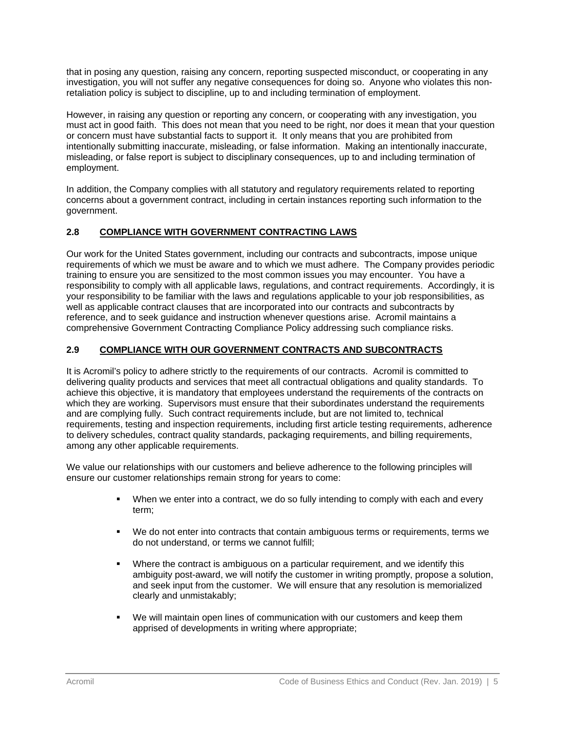that in posing any question, raising any concern, reporting suspected misconduct, or cooperating in any investigation, you will not suffer any negative consequences for doing so. Anyone who violates this nonretaliation policy is subject to discipline, up to and including termination of employment.

However, in raising any question or reporting any concern, or cooperating with any investigation, you must act in good faith. This does not mean that you need to be right, nor does it mean that your question or concern must have substantial facts to support it. It only means that you are prohibited from intentionally submitting inaccurate, misleading, or false information. Making an intentionally inaccurate, misleading, or false report is subject to disciplinary consequences, up to and including termination of employment.

In addition, the Company complies with all statutory and regulatory requirements related to reporting concerns about a government contract, including in certain instances reporting such information to the government.

## **2.8 COMPLIANCE WITH GOVERNMENT CONTRACTING LAWS**

Our work for the United States government, including our contracts and subcontracts, impose unique requirements of which we must be aware and to which we must adhere. The Company provides periodic training to ensure you are sensitized to the most common issues you may encounter. You have a responsibility to comply with all applicable laws, regulations, and contract requirements. Accordingly, it is your responsibility to be familiar with the laws and regulations applicable to your job responsibilities, as well as applicable contract clauses that are incorporated into our contracts and subcontracts by reference, and to seek guidance and instruction whenever questions arise. Acromil maintains a comprehensive Government Contracting Compliance Policy addressing such compliance risks.

## **2.9 COMPLIANCE WITH OUR GOVERNMENT CONTRACTS AND SUBCONTRACTS**

It is Acromil's policy to adhere strictly to the requirements of our contracts. Acromil is committed to delivering quality products and services that meet all contractual obligations and quality standards. To achieve this objective, it is mandatory that employees understand the requirements of the contracts on which they are working. Supervisors must ensure that their subordinates understand the requirements and are complying fully. Such contract requirements include, but are not limited to, technical requirements, testing and inspection requirements, including first article testing requirements, adherence to delivery schedules, contract quality standards, packaging requirements, and billing requirements, among any other applicable requirements.

We value our relationships with our customers and believe adherence to the following principles will ensure our customer relationships remain strong for years to come:

- When we enter into a contract, we do so fully intending to comply with each and every term;
- We do not enter into contracts that contain ambiguous terms or requirements, terms we do not understand, or terms we cannot fulfill;
- Where the contract is ambiguous on a particular requirement, and we identify this ambiguity post-award, we will notify the customer in writing promptly, propose a solution, and seek input from the customer. We will ensure that any resolution is memorialized clearly and unmistakably;
- We will maintain open lines of communication with our customers and keep them apprised of developments in writing where appropriate;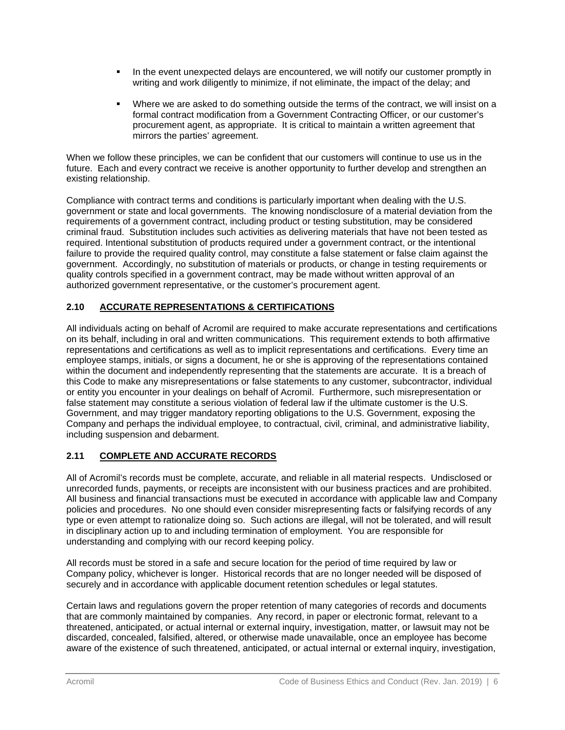- In the event unexpected delays are encountered, we will notify our customer promptly in writing and work diligently to minimize, if not eliminate, the impact of the delay; and
- Where we are asked to do something outside the terms of the contract, we will insist on a formal contract modification from a Government Contracting Officer, or our customer's procurement agent, as appropriate. It is critical to maintain a written agreement that mirrors the parties' agreement.

When we follow these principles, we can be confident that our customers will continue to use us in the future. Each and every contract we receive is another opportunity to further develop and strengthen an existing relationship.

Compliance with contract terms and conditions is particularly important when dealing with the U.S. government or state and local governments. The knowing nondisclosure of a material deviation from the requirements of a government contract, including product or testing substitution, may be considered criminal fraud. Substitution includes such activities as delivering materials that have not been tested as required. Intentional substitution of products required under a government contract, or the intentional failure to provide the required quality control, may constitute a false statement or false claim against the government. Accordingly, no substitution of materials or products, or change in testing requirements or quality controls specified in a government contract, may be made without written approval of an authorized government representative, or the customer's procurement agent.

# **2.10 ACCURATE REPRESENTATIONS & CERTIFICATIONS**

All individuals acting on behalf of Acromil are required to make accurate representations and certifications on its behalf, including in oral and written communications. This requirement extends to both affirmative representations and certifications as well as to implicit representations and certifications. Every time an employee stamps, initials, or signs a document, he or she is approving of the representations contained within the document and independently representing that the statements are accurate. It is a breach of this Code to make any misrepresentations or false statements to any customer, subcontractor, individual or entity you encounter in your dealings on behalf of Acromil. Furthermore, such misrepresentation or false statement may constitute a serious violation of federal law if the ultimate customer is the U.S. Government, and may trigger mandatory reporting obligations to the U.S. Government, exposing the Company and perhaps the individual employee, to contractual, civil, criminal, and administrative liability, including suspension and debarment.

## **2.11 COMPLETE AND ACCURATE RECORDS**

All of Acromil's records must be complete, accurate, and reliable in all material respects. Undisclosed or unrecorded funds, payments, or receipts are inconsistent with our business practices and are prohibited. All business and financial transactions must be executed in accordance with applicable law and Company policies and procedures. No one should even consider misrepresenting facts or falsifying records of any type or even attempt to rationalize doing so. Such actions are illegal, will not be tolerated, and will result in disciplinary action up to and including termination of employment. You are responsible for understanding and complying with our record keeping policy.

All records must be stored in a safe and secure location for the period of time required by law or Company policy, whichever is longer. Historical records that are no longer needed will be disposed of securely and in accordance with applicable document retention schedules or legal statutes.

Certain laws and regulations govern the proper retention of many categories of records and documents that are commonly maintained by companies. Any record, in paper or electronic format, relevant to a threatened, anticipated, or actual internal or external inquiry, investigation, matter, or lawsuit may not be discarded, concealed, falsified, altered, or otherwise made unavailable, once an employee has become aware of the existence of such threatened, anticipated, or actual internal or external inquiry, investigation,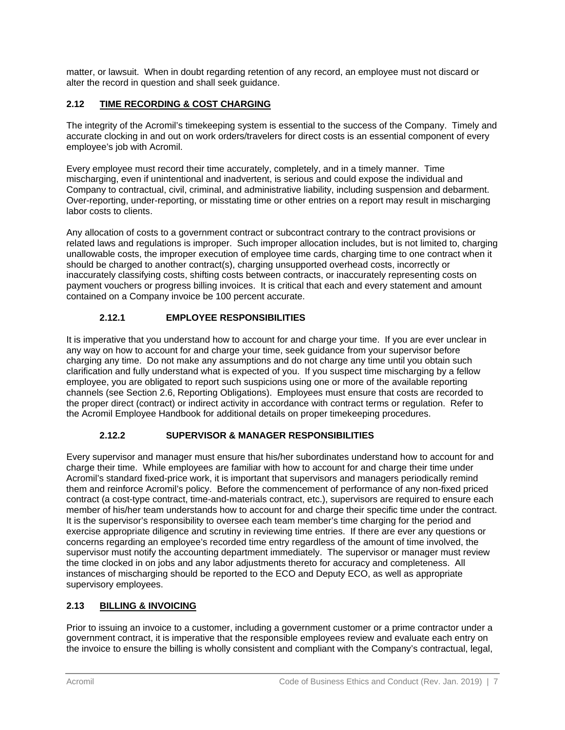matter, or lawsuit. When in doubt regarding retention of any record, an employee must not discard or alter the record in question and shall seek guidance.

# **2.12 TIME RECORDING & COST CHARGING**

The integrity of the Acromil's timekeeping system is essential to the success of the Company. Timely and accurate clocking in and out on work orders/travelers for direct costs is an essential component of every employee's job with Acromil.

Every employee must record their time accurately, completely, and in a timely manner. Time mischarging, even if unintentional and inadvertent, is serious and could expose the individual and Company to contractual, civil, criminal, and administrative liability, including suspension and debarment. Over-reporting, under-reporting, or misstating time or other entries on a report may result in mischarging labor costs to clients.

Any allocation of costs to a government contract or subcontract contrary to the contract provisions or related laws and regulations is improper. Such improper allocation includes, but is not limited to, charging unallowable costs, the improper execution of employee time cards, charging time to one contract when it should be charged to another contract(s), charging unsupported overhead costs, incorrectly or inaccurately classifying costs, shifting costs between contracts, or inaccurately representing costs on payment vouchers or progress billing invoices. It is critical that each and every statement and amount contained on a Company invoice be 100 percent accurate.

# **2.12.1 EMPLOYEE RESPONSIBILITIES**

It is imperative that you understand how to account for and charge your time. If you are ever unclear in any way on how to account for and charge your time, seek guidance from your supervisor before charging any time. Do not make any assumptions and do not charge any time until you obtain such clarification and fully understand what is expected of you. If you suspect time mischarging by a fellow employee, you are obligated to report such suspicions using one or more of the available reporting channels (see Section 2.6, Reporting Obligations). Employees must ensure that costs are recorded to the proper direct (contract) or indirect activity in accordance with contract terms or regulation. Refer to the Acromil Employee Handbook for additional details on proper timekeeping procedures.

## **2.12.2 SUPERVISOR & MANAGER RESPONSIBILITIES**

Every supervisor and manager must ensure that his/her subordinates understand how to account for and charge their time. While employees are familiar with how to account for and charge their time under Acromil's standard fixed-price work, it is important that supervisors and managers periodically remind them and reinforce Acromil's policy. Before the commencement of performance of any non-fixed priced contract (a cost-type contract, time-and-materials contract, etc.), supervisors are required to ensure each member of his/her team understands how to account for and charge their specific time under the contract. It is the supervisor's responsibility to oversee each team member's time charging for the period and exercise appropriate diligence and scrutiny in reviewing time entries. If there are ever any questions or concerns regarding an employee's recorded time entry regardless of the amount of time involved, the supervisor must notify the accounting department immediately. The supervisor or manager must review the time clocked in on jobs and any labor adjustments thereto for accuracy and completeness. All instances of mischarging should be reported to the ECO and Deputy ECO, as well as appropriate supervisory employees.

## **2.13 BILLING & INVOICING**

Prior to issuing an invoice to a customer, including a government customer or a prime contractor under a government contract, it is imperative that the responsible employees review and evaluate each entry on the invoice to ensure the billing is wholly consistent and compliant with the Company's contractual, legal,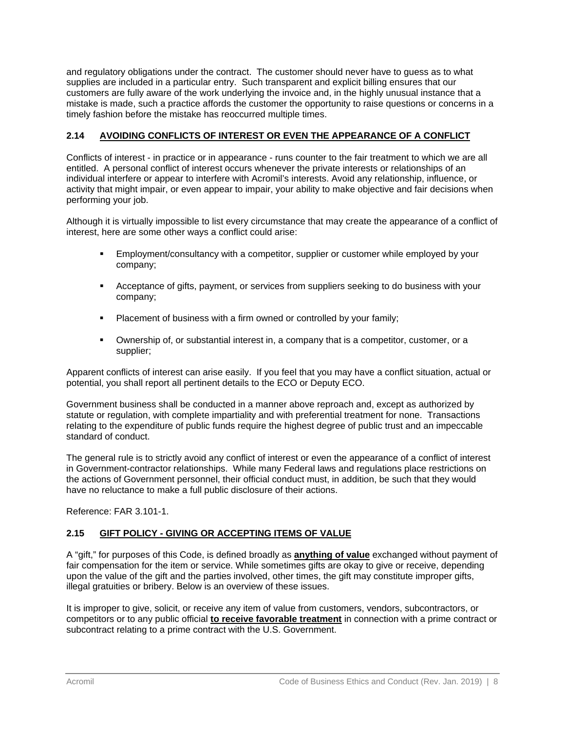and regulatory obligations under the contract. The customer should never have to guess as to what supplies are included in a particular entry. Such transparent and explicit billing ensures that our customers are fully aware of the work underlying the invoice and, in the highly unusual instance that a mistake is made, such a practice affords the customer the opportunity to raise questions or concerns in a timely fashion before the mistake has reoccurred multiple times.

### **2.14 AVOIDING CONFLICTS OF INTEREST OR EVEN THE APPEARANCE OF A CONFLICT**

Conflicts of interest - in practice or in appearance - runs counter to the fair treatment to which we are all entitled. A personal conflict of interest occurs whenever the private interests or relationships of an individual interfere or appear to interfere with Acromil's interests. Avoid any relationship, influence, or activity that might impair, or even appear to impair, your ability to make objective and fair decisions when performing your job.

Although it is virtually impossible to list every circumstance that may create the appearance of a conflict of interest, here are some other ways a conflict could arise:

- Employment/consultancy with a competitor, supplier or customer while employed by your company;
- Acceptance of gifts, payment, or services from suppliers seeking to do business with your company;
- **Placement of business with a firm owned or controlled by your family;**
- Ownership of, or substantial interest in, a company that is a competitor, customer, or a supplier;

Apparent conflicts of interest can arise easily. If you feel that you may have a conflict situation, actual or potential, you shall report all pertinent details to the ECO or Deputy ECO.

Government business shall be conducted in a manner above reproach and, except as authorized by statute or regulation, with complete impartiality and with preferential treatment for none. Transactions relating to the expenditure of public funds require the highest degree of public trust and an impeccable standard of conduct.

The general rule is to strictly avoid any conflict of interest or even the appearance of a conflict of interest in Government-contractor relationships. While many Federal laws and regulations place restrictions on the actions of Government personnel, their official conduct must, in addition, be such that they would have no reluctance to make a full public disclosure of their actions.

Reference: FAR 3.101-1.

## **2.15 GIFT POLICY - GIVING OR ACCEPTING ITEMS OF VALUE**

A "gift," for purposes of this Code, is defined broadly as **anything of value** exchanged without payment of fair compensation for the item or service. While sometimes gifts are okay to give or receive, depending upon the value of the gift and the parties involved, other times, the gift may constitute improper gifts, illegal gratuities or bribery. Below is an overview of these issues.

It is improper to give, solicit, or receive any item of value from customers, vendors, subcontractors, or competitors or to any public official **to receive favorable treatment** in connection with a prime contract or subcontract relating to a prime contract with the U.S. Government.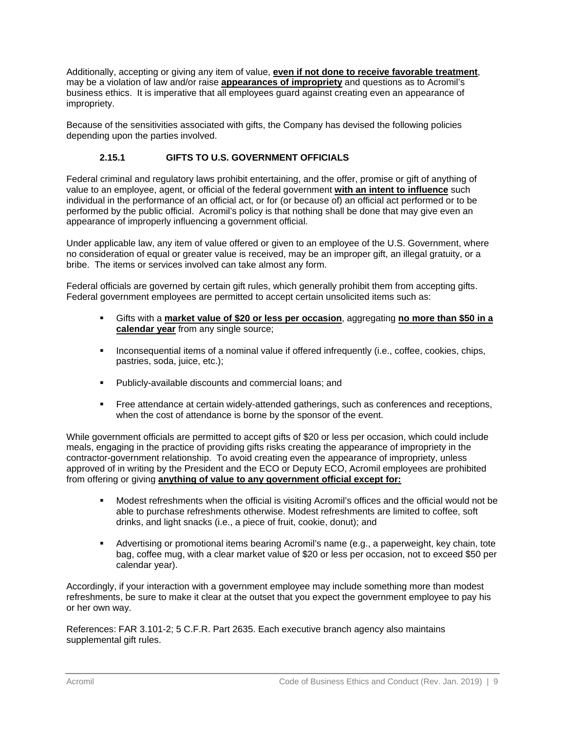Additionally, accepting or giving any item of value, **even if not done to receive favorable treatment**, may be a violation of law and/or raise **appearances of impropriety** and questions as to Acromil's business ethics. It is imperative that all employees guard against creating even an appearance of impropriety.

Because of the sensitivities associated with gifts, the Company has devised the following policies depending upon the parties involved.

# **2.15.1 GIFTS TO U.S. GOVERNMENT OFFICIALS**

Federal criminal and regulatory laws prohibit entertaining, and the offer, promise or gift of anything of value to an employee, agent, or official of the federal government **with an intent to influence** such individual in the performance of an official act, or for (or because of) an official act performed or to be performed by the public official. Acromil's policy is that nothing shall be done that may give even an appearance of improperly influencing a government official.

Under applicable law, any item of value offered or given to an employee of the U.S. Government, where no consideration of equal or greater value is received, may be an improper gift, an illegal gratuity, or a bribe. The items or services involved can take almost any form.

Federal officials are governed by certain gift rules, which generally prohibit them from accepting gifts. Federal government employees are permitted to accept certain unsolicited items such as:

- Gifts with a **market value of \$20 or less per occasion**, aggregating **no more than \$50 in a calendar year** from any single source;
- **Inconsequential items of a nominal value if offered infrequently (i.e., coffee, cookies, chips,** pastries, soda, juice, etc.);
- Publicly-available discounts and commercial loans; and
- Free attendance at certain widely-attended gatherings, such as conferences and receptions, when the cost of attendance is borne by the sponsor of the event.

While government officials are permitted to accept gifts of \$20 or less per occasion, which could include meals, engaging in the practice of providing gifts risks creating the appearance of impropriety in the contractor-government relationship. To avoid creating even the appearance of impropriety, unless approved of in writing by the President and the ECO or Deputy ECO, Acromil employees are prohibited from offering or giving **anything of value to any government official except for:**

- Modest refreshments when the official is visiting Acromil's offices and the official would not be able to purchase refreshments otherwise. Modest refreshments are limited to coffee, soft drinks, and light snacks (i.e., a piece of fruit, cookie, donut); and
- Advertising or promotional items bearing Acromil's name (e.g., a paperweight, key chain, tote bag, coffee mug, with a clear market value of \$20 or less per occasion, not to exceed \$50 per calendar year).

Accordingly, if your interaction with a government employee may include something more than modest refreshments, be sure to make it clear at the outset that you expect the government employee to pay his or her own way.

References: FAR 3.101-2; 5 C.F.R. Part 2635. Each executive branch agency also maintains supplemental gift rules.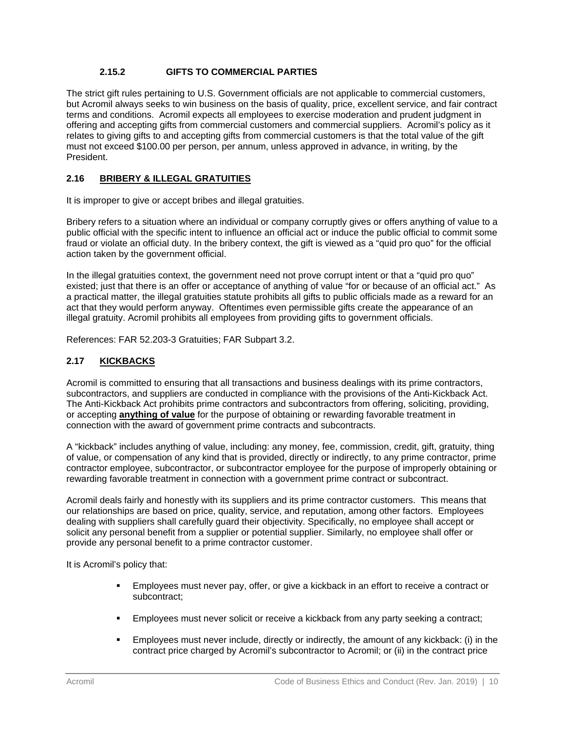### **2.15.2 GIFTS TO COMMERCIAL PARTIES**

The strict gift rules pertaining to U.S. Government officials are not applicable to commercial customers, but Acromil always seeks to win business on the basis of quality, price, excellent service, and fair contract terms and conditions. Acromil expects all employees to exercise moderation and prudent judgment in offering and accepting gifts from commercial customers and commercial suppliers. Acromil's policy as it relates to giving gifts to and accepting gifts from commercial customers is that the total value of the gift must not exceed \$100.00 per person, per annum, unless approved in advance, in writing, by the President.

### **2.16 BRIBERY & ILLEGAL GRATUITIES**

It is improper to give or accept bribes and illegal gratuities.

Bribery refers to a situation where an individual or company corruptly gives or offers anything of value to a public official with the specific intent to influence an official act or induce the public official to commit some fraud or violate an official duty. In the bribery context, the gift is viewed as a "quid pro quo" for the official action taken by the government official.

In the illegal gratuities context, the government need not prove corrupt intent or that a "quid pro quo" existed; just that there is an offer or acceptance of anything of value "for or because of an official act." As a practical matter, the illegal gratuities statute prohibits all gifts to public officials made as a reward for an act that they would perform anyway. Oftentimes even permissible gifts create the appearance of an illegal gratuity. Acromil prohibits all employees from providing gifts to government officials.

References: FAR 52.203-3 Gratuities; FAR Subpart 3.2.

### **2.17 KICKBACKS**

Acromil is committed to ensuring that all transactions and business dealings with its prime contractors, subcontractors, and suppliers are conducted in compliance with the provisions of the Anti-Kickback Act. The Anti-Kickback Act prohibits prime contractors and subcontractors from offering, soliciting, providing, or accepting **anything of value** for the purpose of obtaining or rewarding favorable treatment in connection with the award of government prime contracts and subcontracts.

A "kickback" includes anything of value, including: any money, fee, commission, credit, gift, gratuity, thing of value, or compensation of any kind that is provided, directly or indirectly, to any prime contractor, prime contractor employee, subcontractor, or subcontractor employee for the purpose of improperly obtaining or rewarding favorable treatment in connection with a government prime contract or subcontract.

Acromil deals fairly and honestly with its suppliers and its prime contractor customers. This means that our relationships are based on price, quality, service, and reputation, among other factors. Employees dealing with suppliers shall carefully guard their objectivity. Specifically, no employee shall accept or solicit any personal benefit from a supplier or potential supplier. Similarly, no employee shall offer or provide any personal benefit to a prime contractor customer.

It is Acromil's policy that:

- Employees must never pay, offer, or give a kickback in an effort to receive a contract or subcontract;
- **Employees must never solicit or receive a kickback from any party seeking a contract;**
- Employees must never include, directly or indirectly, the amount of any kickback: (i) in the contract price charged by Acromil's subcontractor to Acromil; or (ii) in the contract price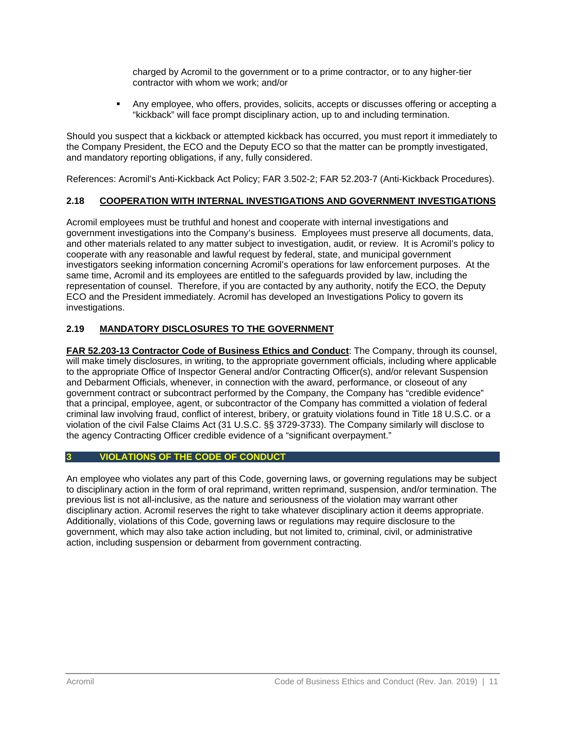charged by Acromil to the government or to a prime contractor, or to any higher-tier contractor with whom we work; and/or

 Any employee, who offers, provides, solicits, accepts or discusses offering or accepting a "kickback" will face prompt disciplinary action, up to and including termination.

Should you suspect that a kickback or attempted kickback has occurred, you must report it immediately to the Company President, the ECO and the Deputy ECO so that the matter can be promptly investigated, and mandatory reporting obligations, if any, fully considered.

References: Acromil's Anti-Kickback Act Policy; FAR 3.502-2; FAR 52.203-7 (Anti-Kickback Procedures).

### **2.18 COOPERATION WITH INTERNAL INVESTIGATIONS AND GOVERNMENT INVESTIGATIONS**

Acromil employees must be truthful and honest and cooperate with internal investigations and government investigations into the Company's business. Employees must preserve all documents, data, and other materials related to any matter subject to investigation, audit, or review. It is Acromil's policy to cooperate with any reasonable and lawful request by federal, state, and municipal government investigators seeking information concerning Acromil's operations for law enforcement purposes. At the same time, Acromil and its employees are entitled to the safeguards provided by law, including the representation of counsel. Therefore, if you are contacted by any authority, notify the ECO, the Deputy ECO and the President immediately. Acromil has developed an Investigations Policy to govern its investigations.

### **2.19 MANDATORY DISCLOSURES TO THE GOVERNMENT**

**FAR 52.203-13 Contractor Code of Business Ethics and Conduct**: The Company, through its counsel, will make timely disclosures, in writing, to the appropriate government officials, including where applicable to the appropriate Office of Inspector General and/or Contracting Officer(s), and/or relevant Suspension and Debarment Officials, whenever, in connection with the award, performance, or closeout of any government contract or subcontract performed by the Company, the Company has "credible evidence" that a principal, employee, agent, or subcontractor of the Company has committed a violation of federal criminal law involving fraud, conflict of interest, bribery, or gratuity violations found in Title 18 U.S.C. or a violation of the civil False Claims Act (31 U.S.C. §§ 3729-3733). The Company similarly will disclose to the agency Contracting Officer credible evidence of a "significant overpayment."

#### **3 VIOLATIONS OF THE CODE OF CONDUCT**

An employee who violates any part of this Code, governing laws, or governing regulations may be subject to disciplinary action in the form of oral reprimand, written reprimand, suspension, and/or termination. The previous list is not all-inclusive, as the nature and seriousness of the violation may warrant other disciplinary action. Acromil reserves the right to take whatever disciplinary action it deems appropriate. Additionally, violations of this Code, governing laws or regulations may require disclosure to the government, which may also take action including, but not limited to, criminal, civil, or administrative action, including suspension or debarment from government contracting.